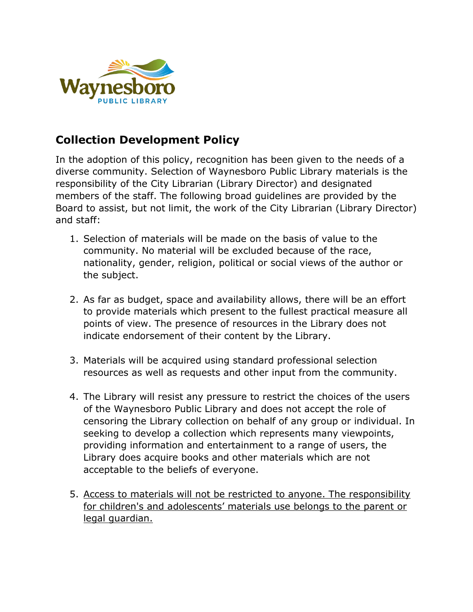

# **Collection Development Policy**

In the adoption of this policy, recognition has been given to the needs of a diverse community. Selection of Waynesboro Public Library materials is the responsibility of the City Librarian (Library Director) and designated members of the staff. The following broad guidelines are provided by the Board to assist, but not limit, the work of the City Librarian (Library Director) and staff:

- 1. Selection of materials will be made on the basis of value to the community. No material will be excluded because of the race, nationality, gender, religion, political or social views of the author or the subject.
- 2. As far as budget, space and availability allows, there will be an effort to provide materials which present to the fullest practical measure all points of view. The presence of resources in the Library does not indicate endorsement of their content by the Library.
- 3. Materials will be acquired using standard professional selection resources as well as requests and other input from the community.
- 4. The Library will resist any pressure to restrict the choices of the users of the Waynesboro Public Library and does not accept the role of censoring the Library collection on behalf of any group or individual. In seeking to develop a collection which represents many viewpoints, providing information and entertainment to a range of users, the Library does acquire books and other materials which are not acceptable to the beliefs of everyone.
- 5. Access to materials will not be restricted to anyone. The responsibility for children's and adolescents' materials use belongs to the parent or legal guardian.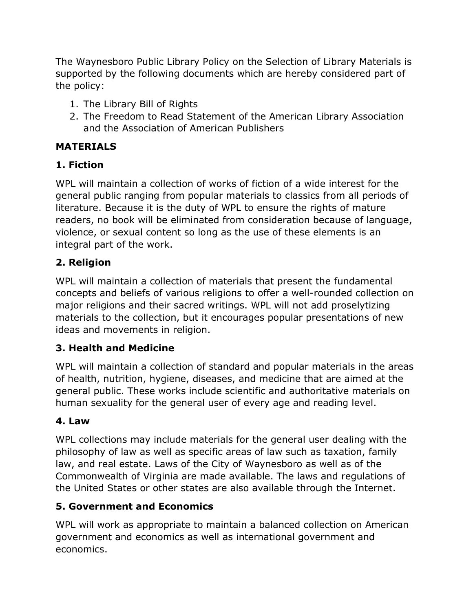The Waynesboro Public Library Policy on the Selection of Library Materials is supported by the following documents which are hereby considered part of the policy:

- 1. The Library Bill of Rights
- 2. The Freedom to Read Statement of the American Library Association and the Association of American Publishers

# **MATERIALS**

## **1. Fiction**

WPL will maintain a collection of works of fiction of a wide interest for the general public ranging from popular materials to classics from all periods of literature. Because it is the duty of WPL to ensure the rights of mature readers, no book will be eliminated from consideration because of language, violence, or sexual content so long as the use of these elements is an integral part of the work.

# **2. Religion**

WPL will maintain a collection of materials that present the fundamental concepts and beliefs of various religions to offer a well-rounded collection on major religions and their sacred writings. WPL will not add proselytizing materials to the collection, but it encourages popular presentations of new ideas and movements in religion.

## **3. Health and Medicine**

WPL will maintain a collection of standard and popular materials in the areas of health, nutrition, hygiene, diseases, and medicine that are aimed at the general public. These works include scientific and authoritative materials on human sexuality for the general user of every age and reading level.

## **4. Law**

WPL collections may include materials for the general user dealing with the philosophy of law as well as specific areas of law such as taxation, family law, and real estate. Laws of the City of Waynesboro as well as of the Commonwealth of Virginia are made available. The laws and regulations of the United States or other states are also available through the Internet.

## **5. Government and Economics**

WPL will work as appropriate to maintain a balanced collection on American government and economics as well as international government and economics.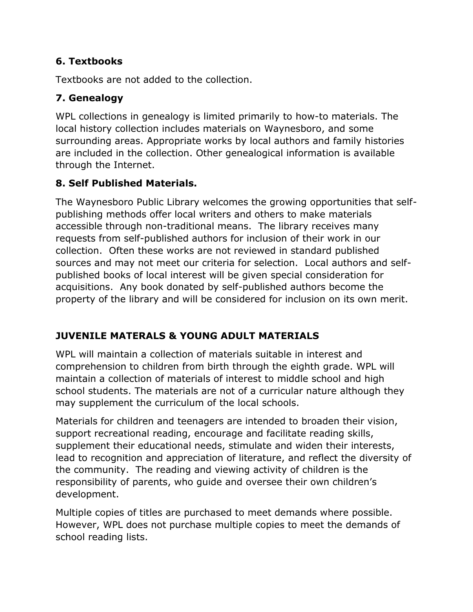### **6. Textbooks**

Textbooks are not added to the collection.

## **7. Genealogy**

WPL collections in genealogy is limited primarily to how-to materials. The local history collection includes materials on Waynesboro, and some surrounding areas. Appropriate works by local authors and family histories are included in the collection. Other genealogical information is available through the Internet.

# **8. Self Published Materials.**

The Waynesboro Public Library welcomes the growing opportunities that selfpublishing methods offer local writers and others to make materials accessible through non-traditional means. The library receives many requests from self-published authors for inclusion of their work in our collection. Often these works are not reviewed in standard published sources and may not meet our criteria for selection. Local authors and selfpublished books of local interest will be given special consideration for acquisitions. Any book donated by self-published authors become the property of the library and will be considered for inclusion on its own merit.

# **JUVENILE MATERALS & YOUNG ADULT MATERIALS**

WPL will maintain a collection of materials suitable in interest and comprehension to children from birth through the eighth grade. WPL will maintain a collection of materials of interest to middle school and high school students. The materials are not of a curricular nature although they may supplement the curriculum of the local schools.

Materials for children and teenagers are intended to broaden their vision, support recreational reading, encourage and facilitate reading skills, supplement their educational needs, stimulate and widen their interests, lead to recognition and appreciation of literature, and reflect the diversity of the community. The reading and viewing activity of children is the responsibility of parents, who guide and oversee their own children's development.

Multiple copies of titles are purchased to meet demands where possible. However, WPL does not purchase multiple copies to meet the demands of school reading lists.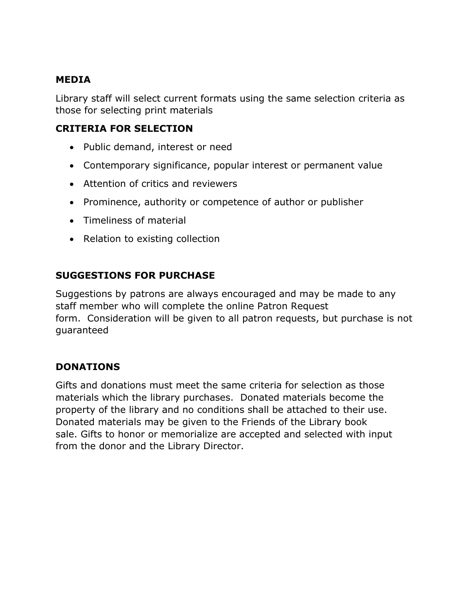#### **MEDIA**

Library staff will select current formats using the same selection criteria as those for selecting print materials

#### **CRITERIA FOR SELECTION**

- Public demand, interest or need
- Contemporary significance, popular interest or permanent value
- Attention of critics and reviewers
- Prominence, authority or competence of author or publisher
- Timeliness of material
- Relation to existing collection

#### **SUGGESTIONS FOR PURCHASE**

Suggestions by patrons are always encouraged and may be made to any staff member who will complete the online Patron Request form. Consideration will be given to all patron requests, but purchase is not guaranteed

#### **DONATIONS**

Gifts and donations must meet the same criteria for selection as those materials which the library purchases. Donated materials become the property of the library and no conditions shall be attached to their use. Donated materials may be given to the Friends of the Library book sale. Gifts to honor or memorialize are accepted and selected with input from the donor and the Library Director.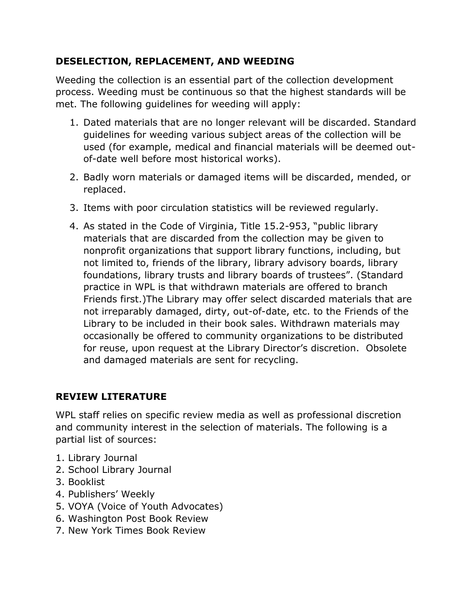#### **DESELECTION, REPLACEMENT, AND WEEDING**

Weeding the collection is an essential part of the collection development process. Weeding must be continuous so that the highest standards will be met. The following guidelines for weeding will apply:

- 1. Dated materials that are no longer relevant will be discarded. Standard guidelines for weeding various subject areas of the collection will be used (for example, medical and financial materials will be deemed outof-date well before most historical works).
- 2. Badly worn materials or damaged items will be discarded, mended, or replaced.
- 3. Items with poor circulation statistics will be reviewed regularly.
- 4. As stated in the Code of Virginia, Title 15.2-953, "public library materials that are discarded from the collection may be given to nonprofit organizations that support library functions, including, but not limited to, friends of the library, library advisory boards, library foundations, library trusts and library boards of trustees". (Standard practice in WPL is that withdrawn materials are offered to branch Friends first.)The Library may offer select discarded materials that are not irreparably damaged, dirty, out-of-date, etc. to the Friends of the Library to be included in their book sales. Withdrawn materials may occasionally be offered to community organizations to be distributed for reuse, upon request at the Library Director's discretion. Obsolete and damaged materials are sent for recycling.

### **REVIEW LITERATURE**

WPL staff relies on specific review media as well as professional discretion and community interest in the selection of materials. The following is a partial list of sources:

- 1. Library Journal
- 2. School Library Journal
- 3. Booklist
- 4. Publishers' Weekly
- 5. VOYA (Voice of Youth Advocates)
- 6. Washington Post Book Review
- 7. New York Times Book Review